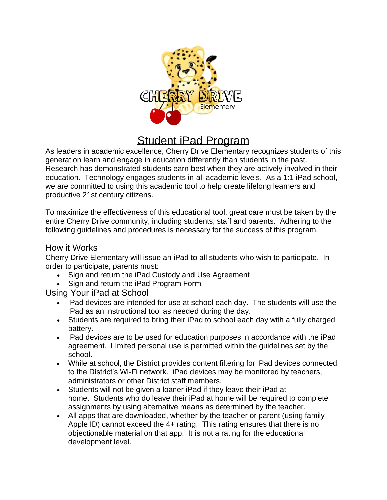

# Student iPad Program

As leaders in academic excellence, Cherry Drive Elementary recognizes students of this generation learn and engage in education differently than students in the past. Research has demonstrated students earn best when they are actively involved in their education. Technology engages students in all academic levels. As a 1:1 iPad school, we are committed to using this academic tool to help create lifelong learners and productive 21st century citizens.

To maximize the effectiveness of this educational tool, great care must be taken by the entire Cherry Drive community, including students, staff and parents. Adhering to the following guidelines and procedures is necessary for the success of this program.

## How it Works

Cherry Drive Elementary will issue an iPad to all students who wish to participate. In order to participate, parents must:

- Sign and return the iPad Custody and Use Agreement
- Sign and return the iPad Program Form

## Using Your iPad at School

- iPad devices are intended for use at school each day. The students will use the iPad as an instructional tool as needed during the day.
- Students are required to bring their iPad to school each day with a fully charged battery.
- iPad devices are to be used for education purposes in accordance with the iPad agreement. LImited personal use is permitted within the guidelines set by the school.
- While at school, the District provides content filtering for iPad devices connected to the District's Wi-Fi network. iPad devices may be monitored by teachers, administrators or other District staff members.
- Students will not be given a loaner iPad if they leave their iPad at home. Students who do leave their iPad at home will be required to complete assignments by using alternative means as determined by the teacher.
- All apps that are downloaded, whether by the teacher or parent (using family Apple ID) cannot exceed the 4+ rating. This rating ensures that there is no objectionable material on that app. It is not a rating for the educational development level.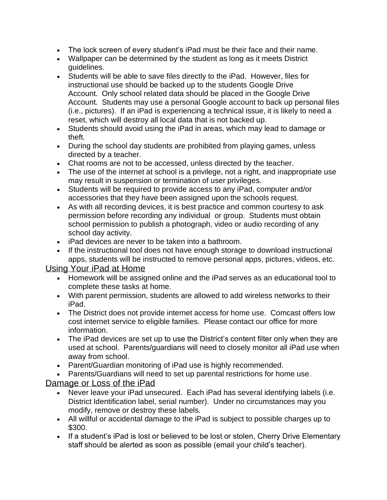- The lock screen of every student's iPad must be their face and their name.
- Wallpaper can be determined by the student as long as it meets District guidelines.
- Students will be able to save files directly to the iPad. However, files for instructional use should be backed up to the students Google Drive Account. Only school related data should be placed in the Google Drive Account. Students may use a personal Google account to back up personal files (i.e., pictures). If an iPad is experiencing a technical issue, it is likely to need a reset, which will destroy all local data that is not backed up.
- Students should avoid using the iPad in areas, which may lead to damage or theft.
- During the school day students are prohibited from playing games, unless directed by a teacher.
- Chat rooms are not to be accessed, unless directed by the teacher.
- The use of the internet at school is a privilege, not a right, and inappropriate use may result in suspension or termination of user privileges.
- Students will be required to provide access to any iPad, computer and/or accessories that they have been assigned upon the schools request.
- As with all recording devices, it is best practice and common courtesy to ask permission before recording any individual or group. Students must obtain school permission to publish a photograph, video or audio recording of any school day activity.
- iPad devices are never to be taken into a bathroom.
- If the instructional tool does not have enough storage to download instructional apps, students will be instructed to remove personal apps, pictures, videos, etc.

## Using Your iPad at Home

- Homework will be assigned online and the iPad serves as an educational tool to complete these tasks at home.
- With parent permission, students are allowed to add wireless networks to their iPad.
- The District does not provide internet access for home use. Comcast offers low cost internet service to eligible families. Please contact our office for more information.
- The iPad devices are set up to use the District's content filter only when they are used at school. Parents/guardians will need to closely monitor all iPad use when away from school.
- Parent/Guardian monitoring of iPad use is highly recommended.
- Parents/Guardians will need to set up parental restrictions for home use.

## Damage or Loss of the iPad

- Never leave your iPad unsecured. Each iPad has several identifying labels (i.e. District Identification label, serial number). Under no circumstances may you modify, remove or destroy these labels.
- All willful or accidental damage to the iPad is subject to possible charges up to \$300.
- If a student's iPad is lost or believed to be lost or stolen, Cherry Drive Elementary staff should be alerted as soon as possible (email your child's teacher).